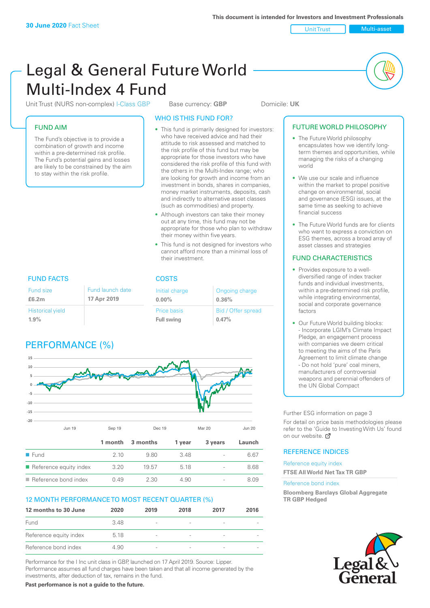Unit Trust Multi-asset

# Legal & General Future World Multi-Index 4 Fund

Unit Trust (NURS non-complex) I-Class GBP Base currency: **GBP** Domicile: UK

### FUND AIM

The Fund's objective is to provide a combination of growth and income within a pre-determined risk profile. The Fund's potential gains and losses are likely to be constrained by the aim to stay within the risk profile.

#### WHO IS THIS FUND FOR?

- This fund is primarily designed for investors: who have received advice and had their attitude to risk assessed and matched to the risk profile of this fund but may be appropriate for those investors who have considered the risk profile of this fund with the others in the Multi-Index range; who are looking for growth and income from an investment in bonds, shares in companies, money market instruments, deposits, cash and indirectly to alternative asset classes (such as commodities) and property.
- Although investors can take their money out at any time, this fund may not be appropriate for those who plan to withdraw their money within five years.
- This fund is not designed for investors who cannot afford more than a minimal loss of their investment.

Ongoing charge

Bid / Offer spread

**0.36%**

**0.47%**

FUND FACTS COSTS Fund size **£6.2m** Initial charge **0.00%** Price basis **Full swing** Historical yield **1.9%** Fund launch date **17 Apr 2019**

# PERFORMANCE (%)



| <b>ELECTRIC</b>                       |      | ו וה ני. | 3.40. |                          | 0.07  |
|---------------------------------------|------|----------|-------|--------------------------|-------|
| $\blacksquare$ Reference equity index | 3.20 | 19.57    | 518   | $\overline{\phantom{a}}$ | 8.68  |
| $\blacksquare$ Reference bond index   | O 49 | 2.30     | 4.90  |                          | 8 0.9 |

# 12 MONTH PERFORMANCE TO MOST RECENT QUARTER (%)

| 12 months to 30 June   | 2020 | 2019                     | 2018                     | 2017                     | 2016 |
|------------------------|------|--------------------------|--------------------------|--------------------------|------|
| Fund                   | 348  | $\overline{\phantom{a}}$ | $\qquad \qquad$          |                          |      |
| Reference equity index | 5.18 | $\overline{\phantom{a}}$ | $\qquad \qquad$          |                          |      |
| Reference bond index   | 4.90 | $\overline{\phantom{a}}$ | $\overline{\phantom{a}}$ | $\overline{\phantom{a}}$ |      |

Performance for the I Inc unit class in GBP, launched on 17 April 2019. Source: Lipper. Performance assumes all fund charges have been taken and that all income generated by the investments, after deduction of tax, remains in the fund.

**Past performance is not a guide to the future.**

#### FUTURE WORLD PHILOSOPHY • The Future World philosophy encapsulates how we identify longterm themes and opportunities, while managing the risks of a changing world

- We use our scale and influence within the market to propel positive change on environmental, social and governance (ESG) issues, at the same time as seeking to achieve financial success
- The Future World funds are for clients who want to express a conviction on ESG themes, across a broad array of asset classes and strategies

### FUND CHARACTERISTICS

- Provides exposure to a welldiversified range of index tracker funds and individual investments, within a pre-determined risk profile. while integrating environmental, social and corporate governance factors
- Our Future World building blocks: - Incorporate LGIM's Climate Impact Pledge, an engagement process with companies we deem critical to meeting the aims of the Paris Agreement to limit climate change - Do not hold 'pure' coal miners, manufacturers of controversial weapons and perennial offenders of the UN Global Compact

Further ESG information on page 3

For detail on price basis methodologies please refer to the 'Guide to Investing With Us' found on our website. a

### REFERENCE INDICES

Reference equity index **FTSE All World Net Tax TR GBP**

#### Reference bond index

**Bloomberg Barclays Global Aggregate TR GBP Hedged**

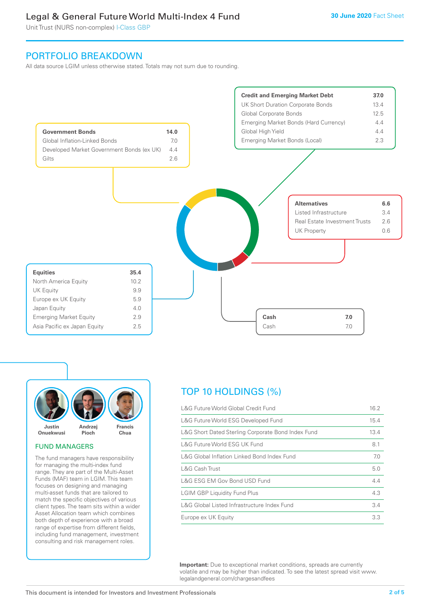# Legal & General Future World Multi-Index 4 Fund

Unit Trust (NURS non-complex) I-Class GBP

# PORTFOLIO BREAKDOWN

All data source LGIM unless otherwise stated. Totals may not sum due to rounding.





#### FUND MANAGERS

The fund managers have responsibility for managing the multi-index fund range. They are part of the Multi-Asset Funds (MAF) team in LGIM. This team focuses on designing and managing multi-asset funds that are tailored to match the specific objectives of various client types. The team sits within a wider Asset Allocation team which combines both depth of experience with a broad range of expertise from different fields, including fund management, investment consulting and risk management roles.

# TOP 10 HOLDINGS (%)

| L&G Future World Global Credit Fund                |      |
|----------------------------------------------------|------|
| L&G Future World ESG Developed Fund                | 15.4 |
| L&G Short Dated Sterling Corporate Bond Index Fund | 13.4 |
| L&G Future World ESG UK Fund                       | 8.1  |
| L&G Global Inflation Linked Bond Index Fund        | 7.0  |
| L&G Cash Trust                                     | 5.0  |
| L&G ESG EM Gov Bond USD Fund                       | 4.4  |
| <b>LGIM GBP Liquidity Fund Plus</b>                | 4.3  |
| L&G Global Listed Infrastructure Index Fund        | 3.4  |
| Europe ex UK Equity                                | 3.3  |

**Important:** Due to exceptional market conditions, spreads are currently volatile and may be higher than indicated. To see the latest spread visit www. legalandgeneral.com/chargesandfees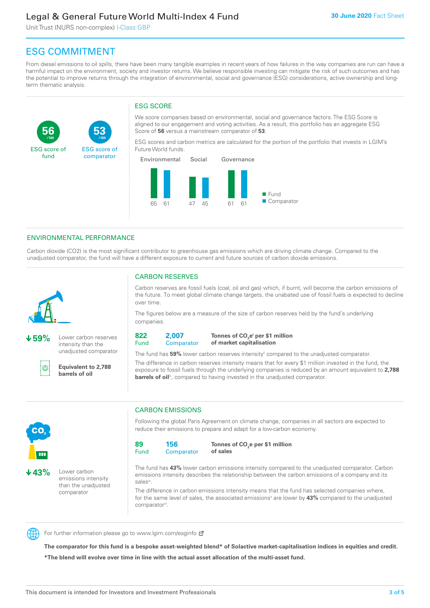# Legal & General Future World Multi-Index 4 Fund

Unit Trust (NURS non-complex) I-Class GBP

**53**

ESG score of comparator

# ESG COMMITMENT

**/100 /100**

From diesel emissions to oil spills, there have been many tangible examples in recent years of how failures in the way companies are run can have a harmful impact on the environment, society and investor returns. We believe responsible investing can mitigate the risk of such outcomes and has the potential to improve returns through the integration of environmental, social and governance (ESG) considerations, active ownership and longterm thematic analysis.

# ESG SCORE

We score companies based on environmental, social and governance factors. The ESG Score is aligned to our engagement and voting activities. As a result, this portfolio has an aggregate ESG Score of **56** versus a mainstream comparator of **53**.

ESG scores and carbon metrics are calculated for the portion of the portfolio that invests in LGIM's Future World funds.



### ENVIRONMENTAL PERFORMANCE

Carbon dioxide (CO2) is the most significant contributor to greenhouse gas emissions which are driving climate change. Compared to the unadjusted comparator, the fund will have a different exposure to current and future sources of carbon dioxide emissions.



**56**

ESG score of fund

**59%** Lower carbon reserves intensity than the unadjusted comparator

൹

**Equivalent to 2,788 barrels of oil**

### CARBON RESERVES

Carbon reserves are fossil fuels (coal, oil and gas) which, if burnt, will become the carbon emissions of the future. To meet global climate change targets, the unabated use of fossil fuels is expected to decline over time.

The figures below are a measure of the size of carbon reserves held by the fund's underlying companies.

**822** Fund **2,007**

**Comparator** 

**Tonnes of CO2 ei per \$1 million of market capitalisation**

The fund has **59%** lower carbon reserves intensityii compared to the unadjusted comparator. The difference in carbon reserves intensity means that for every \$1 million invested in the fund, the exposure to fossil fuels through the underlying companies is reduced by an amount equivalent to **2,788 barrels of oil**<sup>iii</sup>, compared to having invested in the unadjusted comparator.



**43%** Lower carbon emissions intensity than the unadjusted comparator

# CARBON EMISSIONS

Following the global Paris Agreement on climate change, companies in all sectors are expected to reduce their emissions to prepare and adapt for a low-carbon economy.

**89** Fund **156 Comparator** 

**Tonnes of CO2 e per \$1 million of sales**

The fund has **43%** lower carbon emissions intensity compared to the unadjusted comparator. Carbon emissions intensity describes the relationship between the carbon emissions of a company and its salesiv

The difference in carbon emissions intensity means that the fund has selected companies where, for the same level of sales, the associated emissions<sup>v</sup> are lower by 43% compared to the unadjusted comparator<sup>vi</sup>.



For further information please go to www.lgim.com/esginfo Ø

**The comparator for this fund is a bespoke asset-weighted blend\* of Solactive market-capitalisation indices in equities and credit. \*The blend will evolve over time in line with the actual asset allocation of the multi-asset fund.**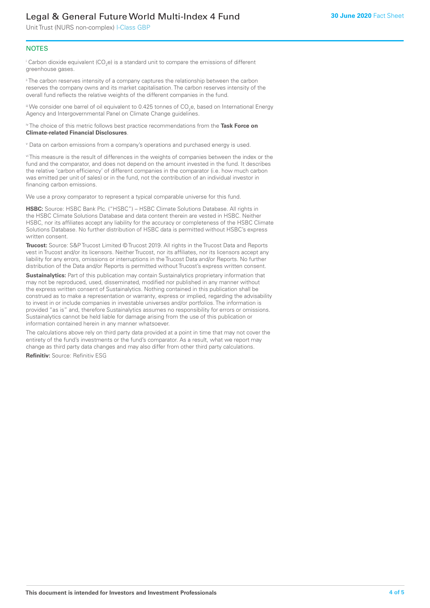# Legal & General Future World Multi-Index 4 Fund

Unit Trust (NURS non-complex) I-Class GBP

#### **NOTES**

 $^\mathrm{i}$  Carbon dioxide equivalent (CO<sub>2</sub>e) is a standard unit to compare the emissions of different greenhouse gases.

<sup>ii</sup> The carbon reserves intensity of a company captures the relationship between the carbon reserves the company owns and its market capitalisation. The carbon reserves intensity of the overall fund reflects the relative weights of the different companies in the fund.

iii We consider one barrel of oil equivalent to 0.425 tonnes of CO<sub>2</sub>e, based on International Energy Agency and Intergovernmental Panel on Climate Change guidelines.

#### iv The choice of this metric follows best practice recommendations from the **Task Force on Climate-related Financial Disclosures**.

v Data on carbon emissions from a company's operations and purchased energy is used.

vi This measure is the result of differences in the weights of companies between the index or the fund and the comparator, and does not depend on the amount invested in the fund. It describes the relative 'carbon efficiency' of different companies in the comparator (i.e. how much carbon was emitted per unit of sales) or in the fund, not the contribution of an individual investor in financing carbon emissions.

We use a proxy comparator to represent a typical comparable universe for this fund.

**HSBC:** Source: HSBC Bank Plc. ("HSBC") – HSBC Climate Solutions Database. All rights in the HSBC Climate Solutions Database and data content therein are vested in HSBC. Neither HSBC, nor its affiliates accept any liability for the accuracy or completeness of the HSBC Climate Solutions Database. No further distribution of HSBC data is permitted without HSBC's express written consent.

**Trucost:** Source: S&P Trucost Limited © Trucost 2019. All rights in the Trucost Data and Reports vest in Trucost and/or its licensors. Neither Trucost, nor its affiliates, nor its licensors accept any liability for any errors, omissions or interruptions in the Trucost Data and/or Reports. No further distribution of the Data and/or Reports is permitted without Trucost's express written consent.

**Sustainalytics:** Part of this publication may contain Sustainalytics proprietary information that may not be reproduced, used, disseminated, modified nor published in any manner without the express written consent of Sustainalytics. Nothing contained in this publication shall be construed as to make a representation or warranty, express or implied, regarding the advisability to invest in or include companies in investable universes and/or portfolios. The information is provided "as is" and, therefore Sustainalytics assumes no responsibility for errors or omissions. Sustainalytics cannot be held liable for damage arising from the use of this publication or information contained herein in any manner whatsoever.

The calculations above rely on third party data provided at a point in time that may not cover the entirety of the fund's investments or the fund's comparator. As a result, what we report may change as third party data changes and may also differ from other third party calculations.

**Refinitiv:** Source: Refinitiv ESG